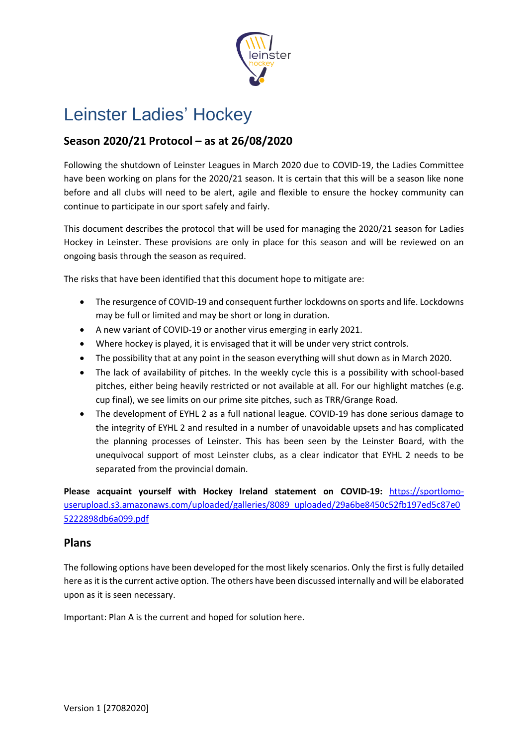

# Leinster Ladies' Hockey

## **Season 2020/21 Protocol – as at 26/08/2020**

Following the shutdown of Leinster Leagues in March 2020 due to COVID-19, the Ladies Committee have been working on plans for the 2020/21 season. It is certain that this will be a season like none before and all clubs will need to be alert, agile and flexible to ensure the hockey community can continue to participate in our sport safely and fairly.

This document describes the protocol that will be used for managing the 2020/21 season for Ladies Hockey in Leinster. These provisions are only in place for this season and will be reviewed on an ongoing basis through the season as required.

The risks that have been identified that this document hope to mitigate are:

- The resurgence of COVID-19 and consequent further lockdowns on sports and life. Lockdowns may be full or limited and may be short or long in duration.
- A new variant of COVID-19 or another virus emerging in early 2021.
- Where hockey is played, it is envisaged that it will be under very strict controls.
- The possibility that at any point in the season everything will shut down as in March 2020.
- The lack of availability of pitches. In the weekly cycle this is a possibility with school-based pitches, either being heavily restricted or not available at all. For our highlight matches (e.g. cup final), we see limits on our prime site pitches, such as TRR/Grange Road.
- The development of EYHL 2 as a full national league. COVID-19 has done serious damage to the integrity of EYHL 2 and resulted in a number of unavoidable upsets and has complicated the planning processes of Leinster. This has been seen by the Leinster Board, with the unequivocal support of most Leinster clubs, as a clear indicator that EYHL 2 needs to be separated from the provincial domain.

**Please acquaint yourself with Hockey Ireland statement on COVID-19:** [https://sportlomo](https://sportlomo-userupload.s3.amazonaws.com/uploaded/galleries/8089_uploaded/29a6be8450c52fb197ed5c87e05222898db6a099.pdf)[userupload.s3.amazonaws.com/uploaded/galleries/8089\\_uploaded/29a6be8450c52fb197ed5c87e0](https://sportlomo-userupload.s3.amazonaws.com/uploaded/galleries/8089_uploaded/29a6be8450c52fb197ed5c87e05222898db6a099.pdf) [5222898db6a099.pdf](https://sportlomo-userupload.s3.amazonaws.com/uploaded/galleries/8089_uploaded/29a6be8450c52fb197ed5c87e05222898db6a099.pdf)

#### **Plans**

The following options have been developed for the most likely scenarios. Only the first is fully detailed here as it is the current active option. The others have been discussed internally and will be elaborated upon as it is seen necessary.

Important: Plan A is the current and hoped for solution here.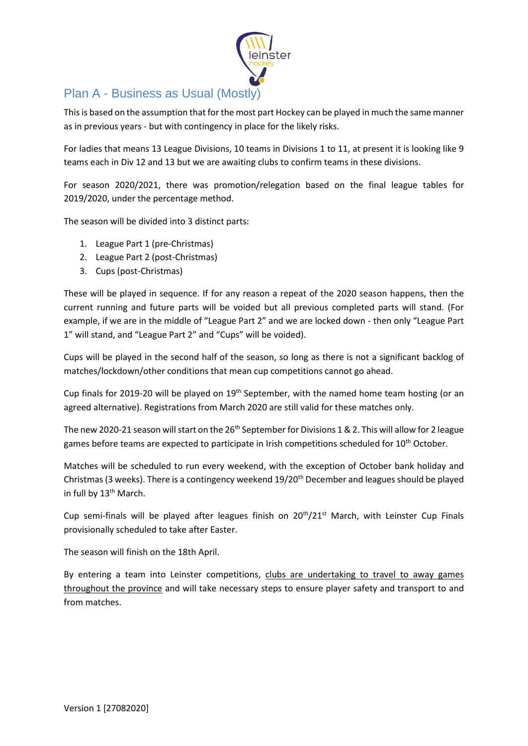

# Plan A - Business as Usual (Mostly)

This is based on the assumption that for the most part Hockey can be played in much the same manner as in previous years - but with contingency in place for the likely risks.

For ladies that means 13 League Divisions, 10 teams in Divisions 1 to 11, at present it is looking like 9 teams each in Div 12 and 13 but we are awaiting clubs to confirm teams in these divisions.

For season 2020/2021, there was promotion/relegation based on the final league tables for 2019/2020, under the percentage method.

The season will be divided into 3 distinct parts:

- 1. League Part 1 (pre-Christmas)
- 2. League Part 2 (post-Christmas)
- 3. Cups (post-Christmas)

These will be played in sequence. If for any reason a repeat of the 2020 season happens, then the current running and future parts will be voided but all previous completed parts will stand. (For example, if we are in the middle of "League Part 2" and we are locked down - then only "League Part 1" will stand, and "League Part 2" and "Cups" will be voided).

Cups will be played in the second half of the season, so long as there is not a significant backlog of matches/lockdown/other conditions that mean cup competitions cannot go ahead.

Cup finals for 2019-20 will be played on 19<sup>th</sup> September, with the named home team hosting (or an agreed alternative). Registrations from March 2020 are still valid for these matches only.

The new 2020-21 season will start on the  $26<sup>th</sup>$  September for Divisions 1 & 2. This will allow for 2 league games before teams are expected to participate in Irish competitions scheduled for 10<sup>th</sup> October.

Matches will be scheduled to run every weekend, with the exception of October bank holiday and Christmas (3 weeks). There is a contingency weekend 19/20<sup>th</sup> December and leagues should be played in full by 13<sup>th</sup> March.

Cup semi-finals will be played after leagues finish on  $20<sup>th</sup>/21<sup>st</sup>$  March, with Leinster Cup Finals provisionally scheduled to take after Easter.

The season will finish on the 18th April.

By entering a team into Leinster competitions, clubs are undertaking to travel to away games throughout the province and will take necessary steps to ensure player safety and transport to and from matches.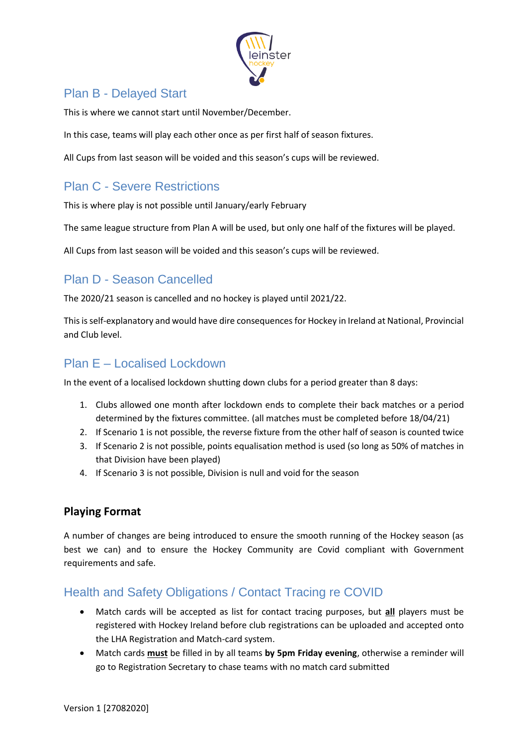

# Plan B - Delayed Start

This is where we cannot start until November/December.

In this case, teams will play each other once as per first half of season fixtures.

All Cups from last season will be voided and this season's cups will be reviewed.

# Plan C - Severe Restrictions

This is where play is not possible until January/early February

The same league structure from Plan A will be used, but only one half of the fixtures will be played.

All Cups from last season will be voided and this season's cups will be reviewed.

# Plan D - Season Cancelled

The 2020/21 season is cancelled and no hockey is played until 2021/22.

This is self-explanatory and would have dire consequences for Hockey in Ireland at National, Provincial and Club level.

## Plan E – Localised Lockdown

In the event of a localised lockdown shutting down clubs for a period greater than 8 days:

- 1. Clubs allowed one month after lockdown ends to complete their back matches or a period determined by the fixtures committee. (all matches must be completed before 18/04/21)
- 2. If Scenario 1 is not possible, the reverse fixture from the other half of season is counted twice
- 3. If Scenario 2 is not possible, points equalisation method is used (so long as 50% of matches in that Division have been played)
- 4. If Scenario 3 is not possible, Division is null and void for the season

#### **Playing Format**

A number of changes are being introduced to ensure the smooth running of the Hockey season (as best we can) and to ensure the Hockey Community are Covid compliant with Government requirements and safe.

# Health and Safety Obligations / Contact Tracing re COVID

- Match cards will be accepted as list for contact tracing purposes, but **all** players must be registered with Hockey Ireland before club registrations can be uploaded and accepted onto the LHA Registration and Match-card system.
- Match cards **must** be filled in by all teams **by 5pm Friday evening**, otherwise a reminder will go to Registration Secretary to chase teams with no match card submitted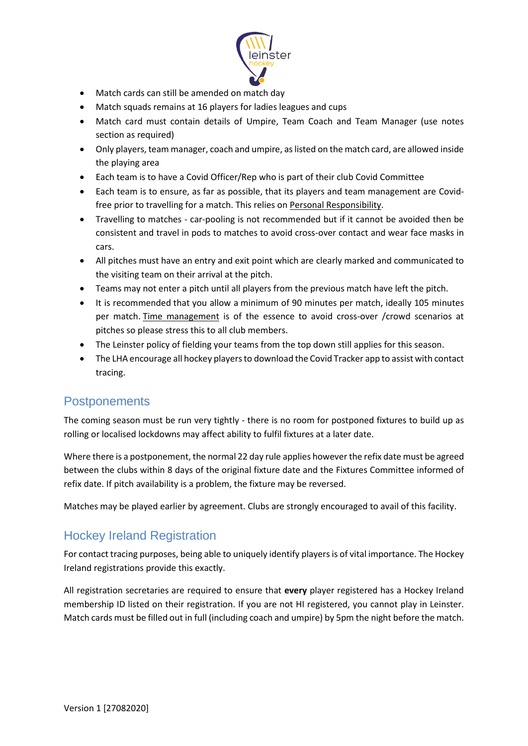

- Match cards can still be amended on match day
- Match squads remains at 16 players for ladies leagues and cups
- Match card must contain details of Umpire, Team Coach and Team Manager (use notes section as required)
- Only players, team manager, coach and umpire, as listed on the match card, are allowed inside the playing area
- Each team is to have a Covid Officer/Rep who is part of their club Covid Committee
- Each team is to ensure, as far as possible, that its players and team management are Covidfree prior to travelling for a match. This relies on Personal Responsibility.
- Travelling to matches car-pooling is not recommended but if it cannot be avoided then be consistent and travel in pods to matches to avoid cross-over contact and wear face masks in cars.
- All pitches must have an entry and exit point which are clearly marked and communicated to the visiting team on their arrival at the pitch.
- Teams may not enter a pitch until all players from the previous match have left the pitch.
- It is recommended that you allow a minimum of 90 minutes per match, ideally 105 minutes per match. Time management is of the essence to avoid cross-over /crowd scenarios at pitches so please stress this to all club members.
- The Leinster policy of fielding your teams from the top down still applies for this season.
- The LHA encourage all hockey players to download the Covid Tracker app to assist with contact tracing.

#### **Postponements**

The coming season must be run very tightly - there is no room for postponed fixtures to build up as rolling or localised lockdowns may affect ability to fulfil fixtures at a later date.

Where there is a postponement, the normal 22 day rule applies however the refix date must be agreed between the clubs within 8 days of the original fixture date and the Fixtures Committee informed of refix date. If pitch availability is a problem, the fixture may be reversed.

Matches may be played earlier by agreement. Clubs are strongly encouraged to avail of this facility.

## Hockey Ireland Registration

For contact tracing purposes, being able to uniquely identify players is of vital importance. The Hockey Ireland registrations provide this exactly.

All registration secretaries are required to ensure that **every** player registered has a Hockey Ireland membership ID listed on their registration. If you are not HI registered, you cannot play in Leinster. Match cards must be filled out in full (including coach and umpire) by 5pm the night before the match.